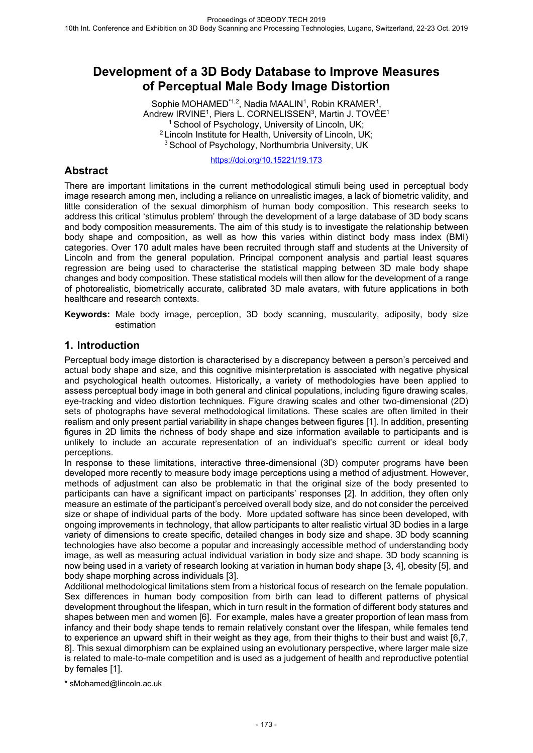# **Development of a 3D Body Database to Improve Measures of Perceptual Male Body Image Distortion**

Sophie MOHAMED<sup>\*1,2</sup>, Nadia MAALIN<sup>1</sup>, Robin KRAMER<sup>1</sup>, Andrew IRVINE<sup>1</sup>, Piers L. CORNELISSEN<sup>3</sup>, Martin J. TOVÉE<sup>1</sup> <sup>1</sup> School of Psychology, University of Lincoln, UK; <sup>2</sup>Lincoln Institute for Health, University of Lincoln, UK; <sup>3</sup> School of Psychology, Northumbria University, UK

https://doi.org/10.15221/19.173

## **Abstract**

There are important limitations in the current methodological stimuli being used in perceptual body image research among men, including a reliance on unrealistic images, a lack of biometric validity, and little consideration of the sexual dimorphism of human body composition. This research seeks to address this critical 'stimulus problem' through the development of a large database of 3D body scans and body composition measurements. The aim of this study is to investigate the relationship between body shape and composition, as well as how this varies within distinct body mass index (BMI) categories. Over 170 adult males have been recruited through staff and students at the University of Lincoln and from the general population. Principal component analysis and partial least squares regression are being used to characterise the statistical mapping between 3D male body shape changes and body composition. These statistical models will then allow for the development of a range of photorealistic, biometrically accurate, calibrated 3D male avatars, with future applications in both healthcare and research contexts.

**Keywords:** Male body image, perception, 3D body scanning, muscularity, adiposity, body size estimation

## **1. Introduction**

Perceptual body image distortion is characterised by a discrepancy between a person's perceived and actual body shape and size, and this cognitive misinterpretation is associated with negative physical and psychological health outcomes. Historically, a variety of methodologies have been applied to assess perceptual body image in both general and clinical populations, including figure drawing scales, eye-tracking and video distortion techniques. Figure drawing scales and other two-dimensional (2D) sets of photographs have several methodological limitations. These scales are often limited in their realism and only present partial variability in shape changes between figures [1]. In addition, presenting figures in 2D limits the richness of body shape and size information available to participants and is unlikely to include an accurate representation of an individual's specific current or ideal body perceptions.

In response to these limitations, interactive three-dimensional (3D) computer programs have been developed more recently to measure body image perceptions using a method of adjustment. However, methods of adjustment can also be problematic in that the original size of the body presented to participants can have a significant impact on participants' responses [2]. In addition, they often only measure an estimate of the participant's perceived overall body size, and do not consider the perceived size or shape of individual parts of the body. More updated software has since been developed, with ongoing improvements in technology, that allow participants to alter realistic virtual 3D bodies in a large variety of dimensions to create specific, detailed changes in body size and shape. 3D body scanning technologies have also become a popular and increasingly accessible method of understanding body image, as well as measuring actual individual variation in body size and shape. 3D body scanning is now being used in a variety of research looking at variation in human body shape [3, 4], obesity [5], and body shape morphing across individuals [3].

Additional methodological limitations stem from a historical focus of research on the female population. Sex differences in human body composition from birth can lead to different patterns of physical development throughout the lifespan, which in turn result in the formation of different body statures and shapes between men and women [6]. For example, males have a greater proportion of lean mass from infancy and their body shape tends to remain relatively constant over the lifespan, while females tend to experience an upward shift in their weight as they age, from their thighs to their bust and waist [6,7, 8]. This sexual dimorphism can be explained using an evolutionary perspective, where larger male size is related to male-to-male competition and is used as a judgement of health and reproductive potential by females [1].

\* sMohamed@lincoln.ac.uk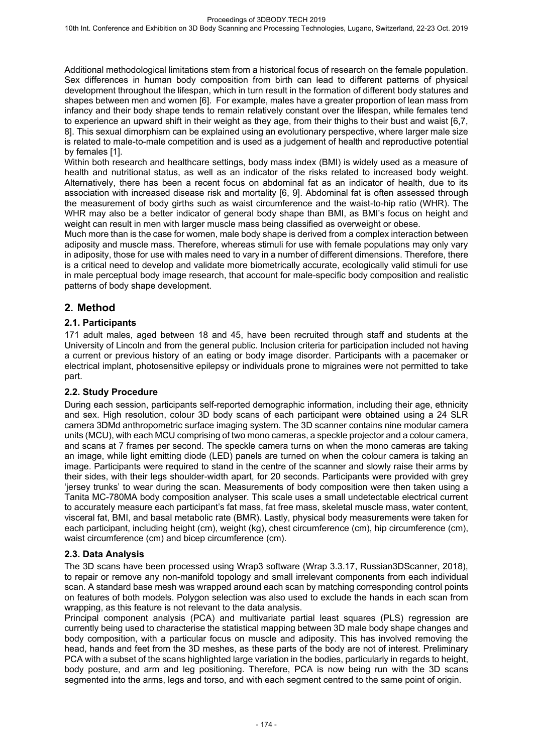Additional methodological limitations stem from a historical focus of research on the female population. Sex differences in human body composition from birth can lead to different patterns of physical development throughout the lifespan, which in turn result in the formation of different body statures and shapes between men and women [6]. For example, males have a greater proportion of lean mass from infancy and their body shape tends to remain relatively constant over the lifespan, while females tend to experience an upward shift in their weight as they age, from their thighs to their bust and waist [6,7, 8]. This sexual dimorphism can be explained using an evolutionary perspective, where larger male size is related to male-to-male competition and is used as a judgement of health and reproductive potential by females [1].

Within both research and healthcare settings, body mass index (BMI) is widely used as a measure of health and nutritional status, as well as an indicator of the risks related to increased body weight. Alternatively, there has been a recent focus on abdominal fat as an indicator of health, due to its association with increased disease risk and mortality [6, 9]. Abdominal fat is often assessed through the measurement of body girths such as waist circumference and the waist-to-hip ratio (WHR). The WHR may also be a better indicator of general body shape than BMI, as BMI's focus on height and weight can result in men with larger muscle mass being classified as overweight or obese.

Much more than is the case for women, male body shape is derived from a complex interaction between adiposity and muscle mass. Therefore, whereas stimuli for use with female populations may only vary in adiposity, those for use with males need to vary in a number of different dimensions. Therefore, there is a critical need to develop and validate more biometrically accurate, ecologically valid stimuli for use in male perceptual body image research, that account for male-specific body composition and realistic patterns of body shape development.

## **2. Method**

#### **2.1. Participants**

171 adult males, aged between 18 and 45, have been recruited through staff and students at the University of Lincoln and from the general public. Inclusion criteria for participation included not having a current or previous history of an eating or body image disorder. Participants with a pacemaker or electrical implant, photosensitive epilepsy or individuals prone to migraines were not permitted to take part.

#### **2.2. Study Procedure**

During each session, participants self-reported demographic information, including their age, ethnicity and sex. High resolution, colour 3D body scans of each participant were obtained using a 24 SLR camera 3DMd anthropometric surface imaging system. The 3D scanner contains nine modular camera units (MCU), with each MCU comprising of two mono cameras, a speckle projector and a colour camera, and scans at 7 frames per second. The speckle camera turns on when the mono cameras are taking an image, while light emitting diode (LED) panels are turned on when the colour camera is taking an image. Participants were required to stand in the centre of the scanner and slowly raise their arms by their sides, with their legs shoulder-width apart, for 20 seconds. Participants were provided with grey 'jersey trunks' to wear during the scan. Measurements of body composition were then taken using a Tanita MC-780MA body composition analyser. This scale uses a small undetectable electrical current to accurately measure each participant's fat mass, fat free mass, skeletal muscle mass, water content, visceral fat, BMI, and basal metabolic rate (BMR). Lastly, physical body measurements were taken for each participant, including height (cm), weight (kg), chest circumference (cm), hip circumference (cm), waist circumference (cm) and bicep circumference (cm).

#### **2.3. Data Analysis**

The 3D scans have been processed using Wrap3 software (Wrap 3.3.17, Russian3DScanner, 2018), to repair or remove any non-manifold topology and small irrelevant components from each individual scan. A standard base mesh was wrapped around each scan by matching corresponding control points on features of both models. Polygon selection was also used to exclude the hands in each scan from wrapping, as this feature is not relevant to the data analysis.

Principal component analysis (PCA) and multivariate partial least squares (PLS) regression are currently being used to characterise the statistical mapping between 3D male body shape changes and body composition, with a particular focus on muscle and adiposity. This has involved removing the head, hands and feet from the 3D meshes, as these parts of the body are not of interest. Preliminary PCA with a subset of the scans highlighted large variation in the bodies, particularly in regards to height, body posture, and arm and leg positioning. Therefore, PCA is now being run with the 3D scans segmented into the arms, legs and torso, and with each segment centred to the same point of origin.